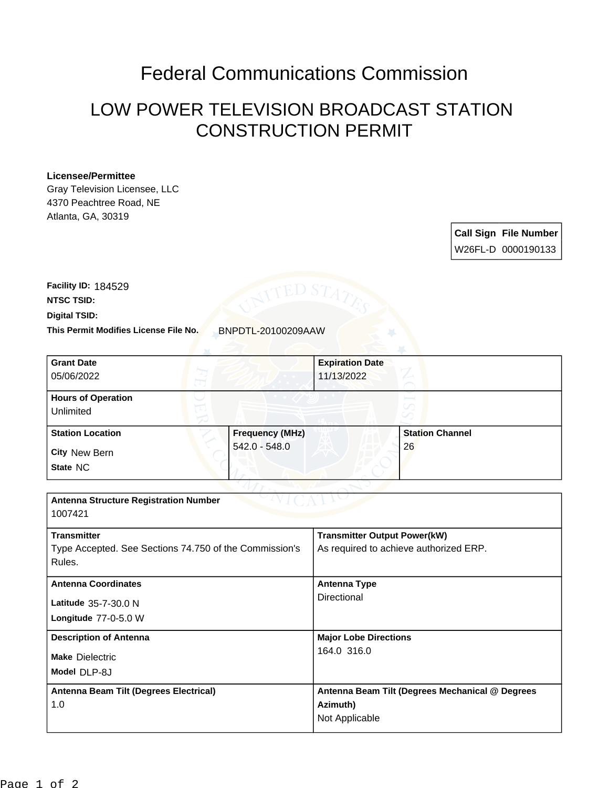## Federal Communications Commission

## LOW POWER TELEVISION BROADCAST STATION CONSTRUCTION PERMIT

## **Licensee/Permittee**

Gray Television Licensee, LLC 4370 Peachtree Road, NE Atlanta, GA, 30319

> **Call Sign File Number** W26FL-D 0000190133

**Digital TSID: NTSC TSID: Facility ID:** 184529

**This Permit Modifies License File No.** BNPDTL-20100209AAW

| <b>Grant Date</b>                                      |                        | <b>Expiration Date</b>                          |                        |
|--------------------------------------------------------|------------------------|-------------------------------------------------|------------------------|
| 05/06/2022                                             |                        | 11/13/2022                                      |                        |
|                                                        |                        |                                                 |                        |
| <b>Hours of Operation</b>                              |                        |                                                 |                        |
| Unlimited                                              |                        |                                                 |                        |
| <b>Station Location</b>                                | <b>Frequency (MHz)</b> |                                                 | <b>Station Channel</b> |
| <b>City New Bern</b>                                   | 542.0 - 548.0          |                                                 | 26                     |
| State NC                                               |                        |                                                 |                        |
|                                                        |                        |                                                 |                        |
| <b>Antenna Structure Registration Number</b>           |                        |                                                 |                        |
| 1007421                                                |                        |                                                 |                        |
| <b>Transmitter</b>                                     |                        | <b>Transmitter Output Power(kW)</b>             |                        |
| Type Accepted. See Sections 74.750 of the Commission's |                        | As required to achieve authorized ERP.          |                        |
| Rules.                                                 |                        |                                                 |                        |
| <b>Antenna Coordinates</b>                             |                        | <b>Antenna Type</b>                             |                        |
| Latitude 35-7-30.0 N                                   |                        | <b>Directional</b>                              |                        |
| Longitude 77-0-5.0 W                                   |                        |                                                 |                        |
|                                                        |                        |                                                 |                        |
| <b>Description of Antenna</b>                          |                        | <b>Major Lobe Directions</b>                    |                        |
| <b>Make Dielectric</b>                                 |                        | 164.0 316.0                                     |                        |
| Model DLP-8J                                           |                        |                                                 |                        |
| Antenna Beam Tilt (Degrees Electrical)                 |                        | Antenna Beam Tilt (Degrees Mechanical @ Degrees |                        |
| 1.0                                                    |                        | Azimuth)                                        |                        |
|                                                        |                        | Not Applicable                                  |                        |